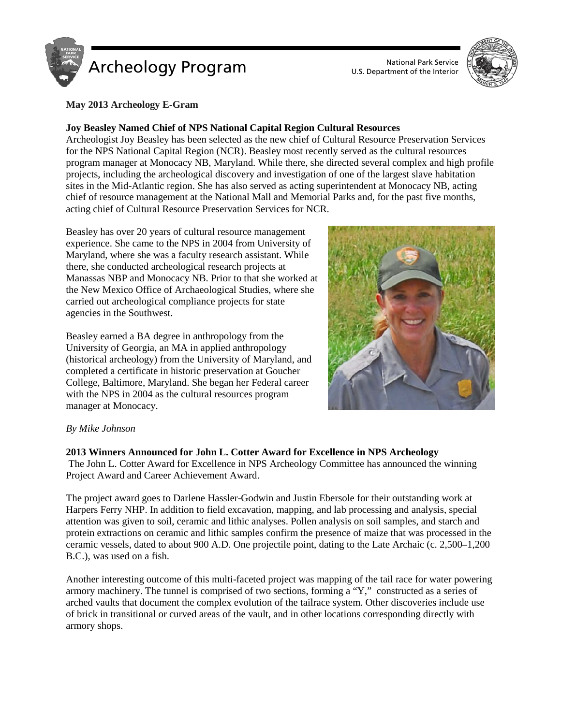

U.S. Department of the Interior



### **May 2013 Archeology E-Gram**

### **Joy Beasley Named Chief of NPS National Capital Region Cultural Resources**

Archeologist Joy Beasley has been selected as the new chief of Cultural Resource Preservation Services for the NPS National Capital Region (NCR). Beasley most recently served as the cultural resources program manager at Monocacy NB, Maryland. While there, she directed several complex and high profile projects, including the archeological discovery and investigation of one of the largest slave habitation sites in the Mid-Atlantic region. She has also served as acting superintendent at Monocacy NB, acting chief of resource management at the National Mall and Memorial Parks and, for the past five months, acting chief of Cultural Resource Preservation Services for NCR.

Beasley has over 20 years of cultural resource management experience. She came to the NPS in 2004 from University of Maryland, where she was a faculty research assistant. While there, she conducted archeological research projects at Manassas NBP and Monocacy NB. Prior to that she worked at the New Mexico Office of Archaeological Studies, where she carried out archeological compliance projects for state agencies in the Southwest.

Beasley earned a BA degree in anthropology from the University of Georgia, an MA in applied anthropology (historical archeology) from the University of Maryland, and completed a certificate in historic preservation at Goucher College, Baltimore, Maryland. She began her Federal career with the NPS in 2004 as the cultural resources program manager at Monocacy.



### *By Mike Johnson*

### **2013 Winners Announced for John L. Cotter Award for Excellence in NPS Archeology**

The John L. Cotter Award for Excellence in NPS Archeology Committee has announced the winning Project Award and Career Achievement Award.

The project award goes to Darlene Hassler-Godwin and Justin Ebersole for their outstanding work at Harpers Ferry NHP. In addition to field excavation, mapping, and lab processing and analysis, special attention was given to soil, ceramic and lithic analyses. Pollen analysis on soil samples, and starch and protein extractions on ceramic and lithic samples confirm the presence of maize that was processed in the ceramic vessels, dated to about 900 A.D. One projectile point, dating to the Late Archaic (c. 2,500–1,200 B.C.), was used on a fish.

Another interesting outcome of this multi-faceted project was mapping of the tail race for water powering armory machinery. The tunnel is comprised of two sections, forming a "Y," constructed as a series of arched vaults that document the complex evolution of the tailrace system. Other discoveries include use of brick in transitional or curved areas of the vault, and in other locations corresponding directly with armory shops.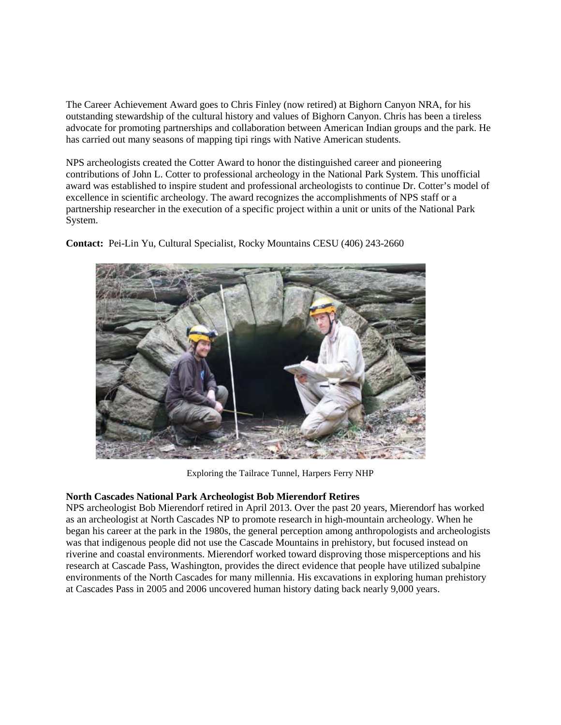The Career Achievement Award goes to Chris Finley (now retired) at Bighorn Canyon NRA, for his outstanding stewardship of the cultural history and values of Bighorn Canyon. Chris has been a tireless advocate for promoting partnerships and collaboration between American Indian groups and the park. He has carried out many seasons of mapping tipi rings with Native American students.

NPS archeologists created the Cotter Award to honor the distinguished career and pioneering contributions of John L. Cotter to professional archeology in the National Park System. This unofficial award was established to inspire student and professional archeologists to continue Dr. Cotter's model of excellence in scientific archeology. The award recognizes the accomplishments of NPS staff or a partnership researcher in the execution of a specific project within a unit or units of the National Park System.



**Contact:** Pei-Lin Yu, Cultural Specialist, Rocky Mountains CESU (406) 243-2660

Exploring the Tailrace Tunnel, Harpers Ferry NHP

# **North Cascades National Park Archeologist Bob Mierendorf Retires**

NPS archeologist Bob Mierendorf retired in April 2013. Over the past 20 years, Mierendorf has worked as an archeologist at North Cascades NP to promote research in high-mountain archeology. When he began his career at the park in the 1980s, the general perception among anthropologists and archeologists was that indigenous people did not use the Cascade Mountains in prehistory, but focused instead on riverine and coastal environments. Mierendorf worked toward disproving those misperceptions and his research at Cascade Pass, Washington, provides the direct evidence that people have utilized subalpine environments of the North Cascades for many millennia. His excavations in exploring human prehistory at Cascades Pass in 2005 and 2006 uncovered human history dating back nearly 9,000 years.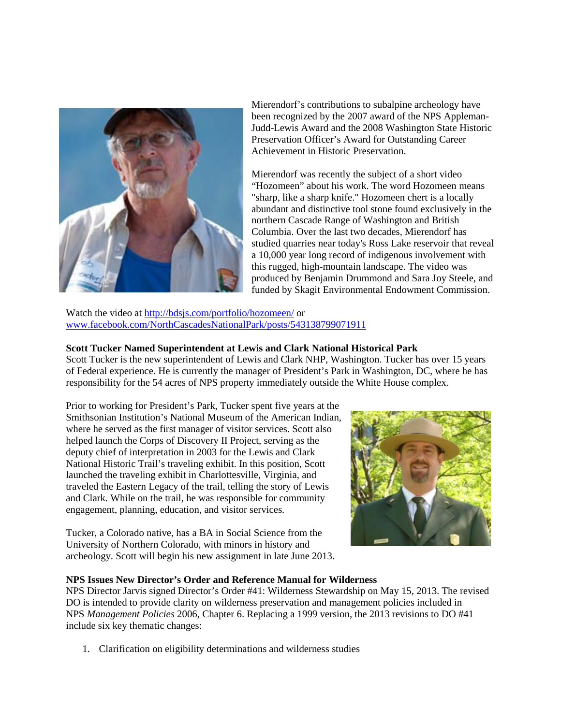

Mierendorf's contributions to subalpine archeology have been recognized by the 2007 award of the NPS Appleman-Judd-Lewis Award and the 2008 Washington State Historic Preservation Officer's Award for Outstanding Career Achievement in Historic Preservation.

Mierendorf was recently the subject of a short video "Hozomeen" about his work. The word Hozomeen means "sharp, like a sharp knife." Hozomeen chert is a locally abundant and distinctive tool stone found exclusively in the northern Cascade Range of Washington and British Columbia. Over the last two decades, Mierendorf has studied quarries near today's Ross Lake reservoir that reveal a 10,000 year long record of indigenous involvement with this rugged, high-mountain landscape. The video was produced by Benjamin Drummond and Sara Joy Steele, and funded by Skagit Environmental Endowment Commission.

Watch the video at<http://bdsjs.com/portfolio/hozomeen/> or [www.facebook.com/NorthCascadesNationalPark/posts/543138799071911](http://www.facebook.com/NorthCascadesNationalPark/posts/543138799071911)

## **Scott Tucker Named Superintendent at Lewis and Clark National Historical Park**

Scott Tucker is the new superintendent of Lewis and Clark NHP, Washington. Tucker has over 15 years of Federal experience. He is currently the manager of President's Park in Washington, DC, where he has responsibility for the 54 acres of NPS property immediately outside the White House complex.

Prior to working for President's Park, Tucker spent five years at the Smithsonian Institution's National Museum of the American Indian, where he served as the first manager of visitor services. Scott also helped launch the Corps of Discovery II Project, serving as the deputy chief of interpretation in 2003 for the Lewis and Clark National Historic Trail's traveling exhibit. In this position, Scott launched the traveling exhibit in Charlottesville, Virginia, and traveled the Eastern Legacy of the trail, telling the story of Lewis and Clark. While on the trail, he was responsible for community engagement, planning, education, and visitor services.

Tucker, a Colorado native, has a BA in Social Science from the University of Northern Colorado, with minors in history and archeology. Scott will begin his new assignment in late June 2013.



### **NPS Issues New Director's Order and Reference Manual for Wilderness**

NPS Director Jarvis signed Director's Order #41: Wilderness Stewardship on May 15, 2013. The revised DO is intended to provide clarity on wilderness preservation and management policies included in NPS *Management Policies* 2006, Chapter 6. Replacing a 1999 version, the 2013 revisions to DO #41 include six key thematic changes:

1. Clarification on eligibility determinations and wilderness studies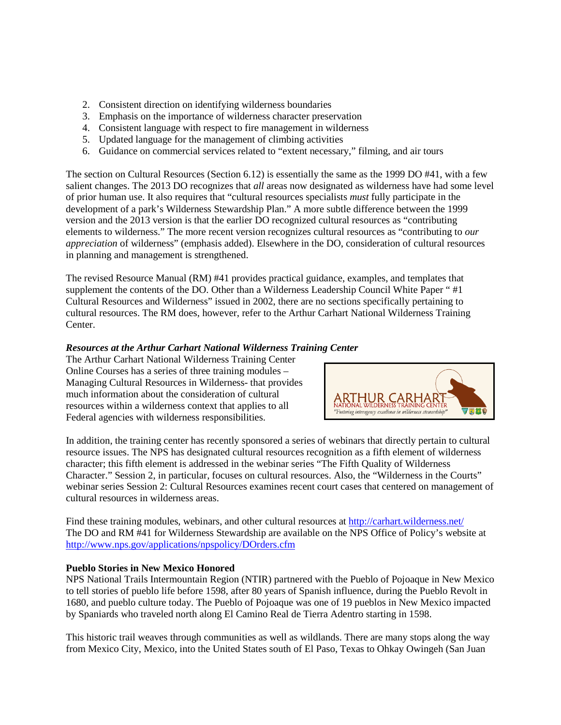- 2. Consistent direction on identifying wilderness boundaries
- 3. Emphasis on the importance of wilderness character preservation
- 4. Consistent language with respect to fire management in wilderness
- 5. Updated language for the management of climbing activities
- 6. Guidance on commercial services related to "extent necessary," filming, and air tours

The section on Cultural Resources (Section 6.12) is essentially the same as the 1999 DO #41, with a few salient changes. The 2013 DO recognizes that *all* areas now designated as wilderness have had some level of prior human use. It also requires that "cultural resources specialists *must* fully participate in the development of a park's Wilderness Stewardship Plan." A more subtle difference between the 1999 version and the 2013 version is that the earlier DO recognized cultural resources as "contributing elements to wilderness." The more recent version recognizes cultural resources as "contributing to *our appreciation* of wilderness" (emphasis added). Elsewhere in the DO, consideration of cultural resources in planning and management is strengthened.

The revised Resource Manual (RM) #41 provides practical guidance, examples, and templates that supplement the contents of the DO. Other than a Wilderness Leadership Council White Paper "#1" Cultural Resources and Wilderness" issued in 2002, there are no sections specifically pertaining to cultural resources. The RM does, however, refer to the Arthur Carhart National Wilderness Training Center.

# *Resources at the Arthur Carhart National Wilderness Training Center*

The Arthur Carhart National Wilderness Training Center Online Courses has a series of three training modules – Managing Cultural Resources in Wilderness- that provides much information about the consideration of cultural resources within a wilderness context that applies to all Federal agencies with wilderness responsibilities.



In addition, the training center has recently sponsored a series of webinars that directly pertain to cultural resource issues. The NPS has designated cultural resources recognition as a fifth element of wilderness character; this fifth element is addressed in the webinar series "The Fifth Quality of Wilderness Character." Session 2, in particular, focuses on cultural resources. Also, the "Wilderness in the Courts" webinar series Session 2: Cultural Resources examines recent court cases that centered on management of cultural resources in wilderness areas.

Find these training modules, webinars, and other cultural resources at<http://carhart.wilderness.net/> The DO and RM #41 for Wilderness Stewardship are available on the NPS Office of Policy's website at <http://www.nps.gov/applications/npspolicy/DOrders.cfm>

# **Pueblo Stories in New Mexico Honored**

NPS National Trails Intermountain Region (NTIR) partnered with the Pueblo of Pojoaque in New Mexico to tell stories of pueblo life before 1598, after 80 years of Spanish influence, during the Pueblo Revolt in 1680, and pueblo culture today. The Pueblo of Pojoaque was one of 19 pueblos in New Mexico impacted by Spaniards who traveled north along El Camino Real de Tierra Adentro starting in 1598.

This historic trail weaves through communities as well as wildlands. There are many stops along the way from Mexico City, Mexico, into the United States south of El Paso, Texas to Ohkay Owingeh (San Juan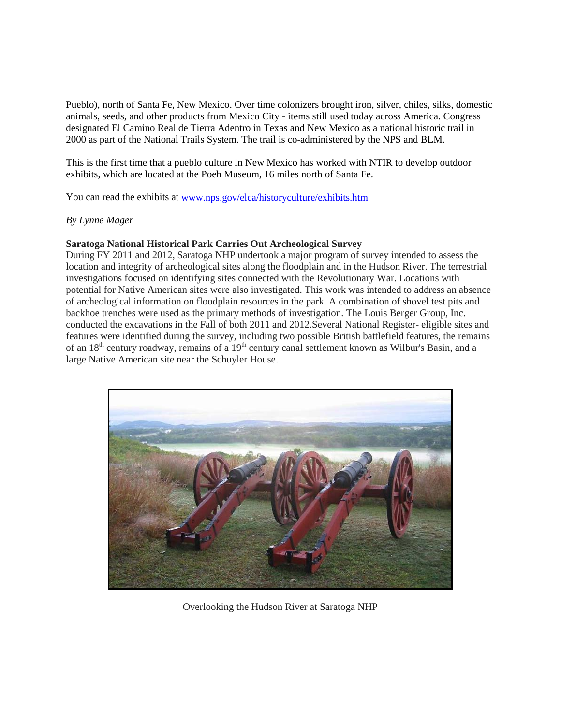Pueblo), north of Santa Fe, New Mexico. Over time colonizers brought iron, silver, chiles, silks, domestic animals, seeds, and other products from Mexico City - items still used today across America. Congress designated El Camino Real de Tierra Adentro in Texas and New Mexico as a national historic trail in 2000 as part of the National Trails System. The trail is co-administered by the NPS and BLM.

This is the first time that a pueblo culture in New Mexico has worked with NTIR to develop outdoor exhibits, which are located at the Poeh Museum, 16 miles north of Santa Fe.

You can read the exhibits at [www.nps.gov/elca/historyculture/exhibits.htm](http://www.nps.gov/elca/historyculture/exhibits.htm)

#### *By Lynne Mager*

### **Saratoga National Historical Park Carries Out Archeological Survey**

During FY 2011 and 2012, Saratoga NHP undertook a major program of survey intended to assess the location and integrity of archeological sites along the floodplain and in the Hudson River. The terrestrial investigations focused on identifying sites connected with the Revolutionary War. Locations with potential for Native American sites were also investigated. This work was intended to address an absence of archeological information on floodplain resources in the park. A combination of shovel test pits and backhoe trenches were used as the primary methods of investigation. The Louis Berger Group, Inc. conducted the excavations in the Fall of both 2011 and 2012.Several National Register- eligible sites and features were identified during the survey, including two possible British battlefield features, the remains of an 18<sup>th</sup> century roadway, remains of a 19<sup>th</sup> century canal settlement known as Wilbur's Basin, and a large Native American site near the Schuyler House.



Overlooking the Hudson River at Saratoga NHP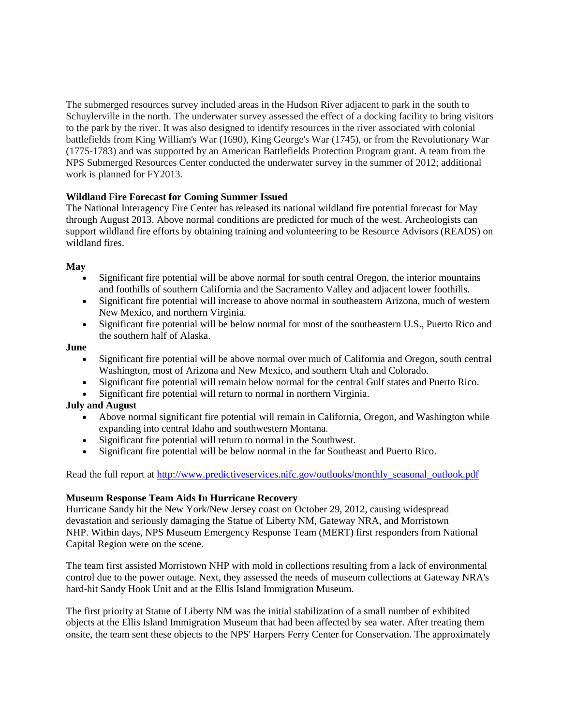The submerged resources survey included areas in the Hudson River adjacent to park in the south to Schuylerville in the north. The underwater survey assessed the effect of a docking facility to bring visitors to the park by the river. It was also designed to identify resources in the river associated with colonial battlefields from King William's War (1690), King George's War (1745), or from the Revolutionary War (1775-1783) and was supported by an American Battlefields Protection Program grant. A team from the NPS Submerged Resources Center conducted the underwater survey in the summer of 2012; additional work is planned for FY2013.

## **Wildland Fire Forecast for Coming Summer Issued**

The National Interagency Fire Center has released its national wildland fire potential forecast for May through August 2013. Above normal conditions are predicted for much of the west. Archeologists can support wildland fire efforts by obtaining training and volunteering to be Resource Advisors (READS) on wildland fires.

## **May**

- Significant fire potential will be above normal for south central Oregon, the interior mountains and foothills of southern California and the Sacramento Valley and adjacent lower foothills.
- Significant fire potential will increase to above normal in southeastern Arizona, much of western New Mexico, and northern Virginia.
- Significant fire potential will be below normal for most of the southeastern U.S., Puerto Rico and the southern half of Alaska.

### **June**

- Significant fire potential will be above normal over much of California and Oregon, south central Washington, most of Arizona and New Mexico, and southern Utah and Colorado.
- Significant fire potential will remain below normal for the central Gulf states and Puerto Rico.
- Significant fire potential will return to normal in northern Virginia.

# **July and August**

- Above normal significant fire potential will remain in California, Oregon, and Washington while expanding into central Idaho and southwestern Montana.
- Significant fire potential will return to normal in the Southwest.
- Significant fire potential will be below normal in the far Southeast and Puerto Rico.

Read the full report at [http://www.predictiveservices.nifc.gov/outlooks/monthly\\_seasonal\\_outlook.pdf](http://www.predictiveservices.nifc.gov/outlooks/monthly_seasonal_outlook.pdf)

### **Museum Response Team Aids In Hurricane Recovery**

Hurricane Sandy hit the New York/New Jersey coast on October 29, 2012, causing widespread devastation and seriously damaging the Statue of Liberty NM, Gateway NRA, and Morristown NHP. Within days, NPS Museum Emergency Response Team (MERT) first responders from National Capital Region were on the scene.

The team first assisted Morristown NHP with mold in collections resulting from a lack of environmental control due to the power outage. Next, they assessed the needs of museum collections at Gateway NRA's hard-hit Sandy Hook Unit and at the Ellis Island Immigration Museum.

The first priority at Statue of Liberty NM was the initial stabilization of a small number of exhibited objects at the Ellis Island Immigration Museum that had been affected by sea water. After treating them onsite, the team sent these objects to the NPS' Harpers Ferry Center for Conservation. The approximately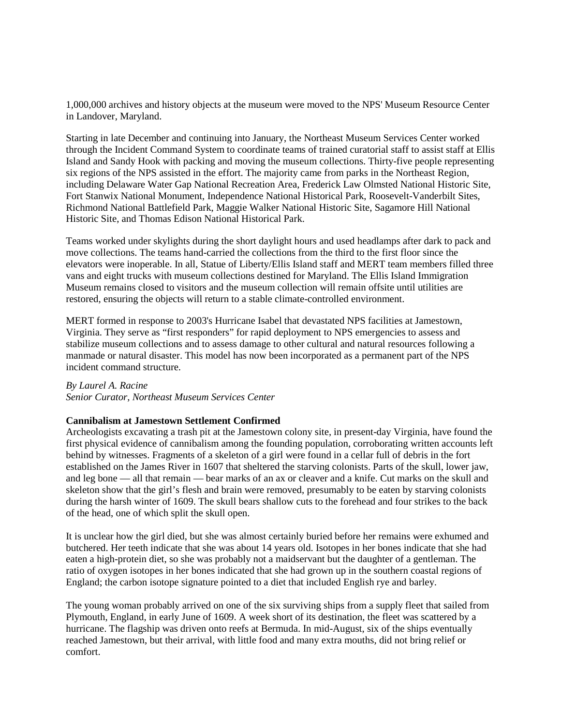1,000,000 archives and history objects at the museum were moved to the NPS' Museum Resource Center in Landover, Maryland.

Starting in late December and continuing into January, the Northeast Museum Services Center worked through the Incident Command System to coordinate teams of trained curatorial staff to assist staff at Ellis Island and Sandy Hook with packing and moving the museum collections. Thirty-five people representing six regions of the NPS assisted in the effort. The majority came from parks in the Northeast Region, including Delaware Water Gap National Recreation Area, Frederick Law Olmsted National Historic Site, Fort Stanwix National Monument, Independence National Historical Park, Roosevelt-Vanderbilt Sites, Richmond National Battlefield Park, Maggie Walker National Historic Site, Sagamore Hill National Historic Site, and Thomas Edison National Historical Park.

Teams worked under skylights during the short daylight hours and used headlamps after dark to pack and move collections. The teams hand-carried the collections from the third to the first floor since the elevators were inoperable. In all, Statue of Liberty/Ellis Island staff and MERT team members filled three vans and eight trucks with museum collections destined for Maryland. The Ellis Island Immigration Museum remains closed to visitors and the museum collection will remain offsite until utilities are restored, ensuring the objects will return to a stable climate-controlled environment.

MERT formed in response to 2003's Hurricane Isabel that devastated NPS facilities at Jamestown, Virginia. They serve as "first responders" for rapid deployment to NPS emergencies to assess and stabilize museum collections and to assess damage to other cultural and natural resources following a manmade or natural disaster. This model has now been incorporated as a permanent part of the NPS incident command structure.

### *By Laurel A. Racine*

*Senior Curator, Northeast Museum Services Center*

### **Cannibalism at Jamestown Settlement Confirmed**

Archeologists excavating a trash pit at the Jamestown colony site, in present-day Virginia, have found the first physical evidence of cannibalism among the founding population, corroborating written accounts left behind by witnesses. Fragments of a skeleton of a girl were found in a cellar full of debris in the fort established on the James River in 1607 that sheltered the starving colonists. Parts of the skull, lower jaw, and leg bone — all that remain — bear marks of an ax or cleaver and a knife. Cut marks on the skull and skeleton show that the girl's flesh and brain were removed, presumably to be eaten by starving colonists during the harsh winter of 1609. The skull bears shallow cuts to the forehead and four strikes to the back of the head, one of which split the skull open.

It is unclear how the girl died, but she was almost certainly buried before her remains were exhumed and butchered. Her teeth indicate that she was about 14 years old. Isotopes in her bones indicate that she had eaten a high-protein diet, so she was probably not a maidservant but the daughter of a gentleman. The ratio of oxygen isotopes in her bones indicated that she had grown up in the southern coastal regions of England; the carbon isotope signature pointed to a diet that included English rye and barley.

The young woman probably arrived on one of the six surviving ships from a supply fleet that sailed from Plymouth, England, in early June of 1609. A week short of its destination, the fleet was scattered by a hurricane. The flagship was driven onto reefs at Bermuda. In mid-August, six of the ships eventually reached Jamestown, but their arrival, with little food and many extra mouths, did not bring relief or comfort.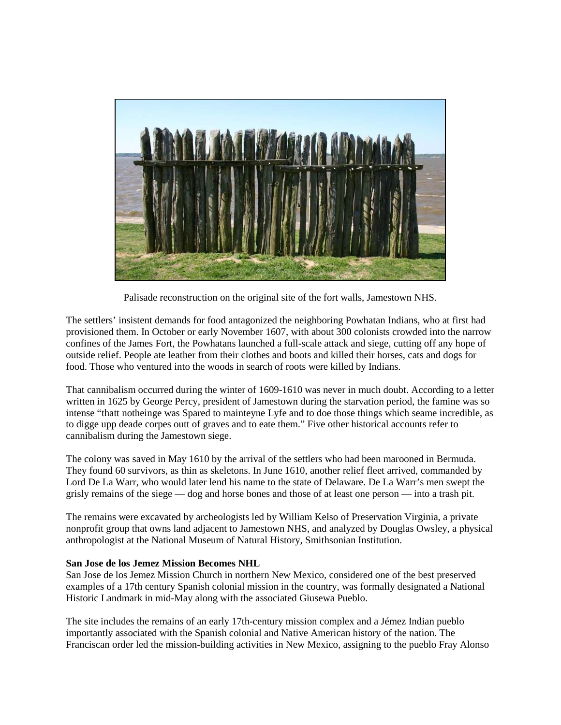

Palisade reconstruction on the original site of the fort walls, Jamestown NHS.

The settlers' insistent demands for food antagonized the neighboring Powhatan Indians, who at first had provisioned them. In October or early November 1607, with about 300 colonists crowded into the narrow confines of the James Fort, the Powhatans launched a full-scale attack and siege, cutting off any hope of outside relief. People ate leather from their clothes and boots and killed their horses, cats and dogs for food. Those who ventured into the woods in search of roots were killed by Indians.

That cannibalism occurred during the winter of 1609-1610 was never in much doubt. According to a letter written in 1625 by George Percy, president of Jamestown during the starvation period, the famine was so intense "thatt notheinge was Spared to mainteyne Lyfe and to doe those things which seame incredible, as to digge upp deade corpes outt of graves and to eate them." Five other historical accounts refer to cannibalism during the Jamestown siege.

The colony was saved in May 1610 by the arrival of the settlers who had been marooned in Bermuda. They found 60 survivors, as thin as skeletons. In June 1610, another relief fleet arrived, commanded by Lord De La Warr, who would later lend his name to the state of Delaware. De La Warr's men swept the grisly remains of the siege — dog and horse bones and those of at least one person — into a trash pit.

The remains were excavated by archeologists led by William Kelso of Preservation Virginia, a private nonprofit group that owns land adjacent to Jamestown NHS, and analyzed by Douglas Owsley, a physical anthropologist at the National Museum of Natural History, Smithsonian Institution.

### **San Jose de los Jemez Mission Becomes NHL**

San Jose de los Jemez Mission Church in northern New Mexico, considered one of the best preserved examples of a 17th century Spanish colonial mission in the country, was formally designated a National Historic Landmark in mid-May along with the associated Giusewa Pueblo.

The site includes the remains of an early 17th-century mission complex and a Jémez Indian pueblo importantly associated with the Spanish colonial and Native American history of the nation. The Franciscan order led the mission-building activities in New Mexico, assigning to the pueblo Fray Alonso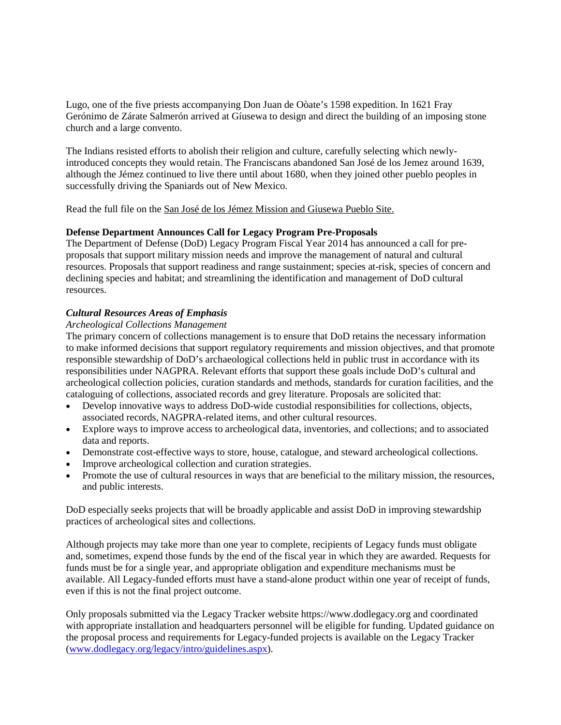Lugo, one of the five priests accompanying Don Juan de Oòate's 1598 expedition. In 1621 Fray Gerónimo de Zárate Salmerón arrived at Gíusewa to design and direct the building of an imposing stone church and a large convento.

The Indians resisted efforts to abolish their religion and culture, carefully selecting which newlyintroduced concepts they would retain. The Franciscans abandoned San José de los Jemez around 1639, although the Jémez continued to live there until about 1680, when they joined other pueblo peoples in successfully driving the Spaniards out of New Mexico.

Read the full file on the [San José de los Jémez Mission and Gíusewa Pueblo Site.](http://www.nps.gov/nr/feature/weekly_features/2012/NM_12001007.pdf)

### **Defense Department Announces Call for Legacy Program Pre-Proposals**

The Department of Defense (DoD) Legacy Program Fiscal Year 2014 has announced a call for preproposals that support military mission needs and improve the management of natural and cultural resources. Proposals that support readiness and range sustainment; species at-risk, species of concern and declining species and habitat; and streamlining the identification and management of DoD cultural resources.

### *Cultural Resources Areas of Emphasis*

#### *Archeological Collections Management*

The primary concern of collections management is to ensure that DoD retains the necessary information to make informed decisions that support regulatory requirements and mission objectives, and that promote responsible stewardship of DoD's archaeological collections held in public trust in accordance with its responsibilities under NAGPRA. Relevant efforts that support these goals include DoD's cultural and archeological collection policies, curation standards and methods, standards for curation facilities, and the cataloguing of collections, associated records and grey literature. Proposals are solicited that:

- Develop innovative ways to address DoD-wide custodial responsibilities for collections, objects, associated records, NAGPRA-related items, and other cultural resources.
- Explore ways to improve access to archeological data, inventories, and collections; and to associated data and reports.
- Demonstrate cost-effective ways to store, house, catalogue, and steward archeological collections.
- Improve archeological collection and curation strategies.
- Promote the use of cultural resources in ways that are beneficial to the military mission, the resources, and public interests.

DoD especially seeks projects that will be broadly applicable and assist DoD in improving stewardship practices of archeological sites and collections.

Although projects may take more than one year to complete, recipients of Legacy funds must obligate and, sometimes, expend those funds by the end of the fiscal year in which they are awarded. Requests for funds must be for a single year, and appropriate obligation and expenditure mechanisms must be available. All Legacy-funded efforts must have a stand-alone product within one year of receipt of funds, even if this is not the final project outcome.

Only proposals submitted via the Legacy Tracker website https://www.dodlegacy.org and coordinated with appropriate installation and headquarters personnel will be eligible for funding. Updated guidance on the proposal process and requirements for Legacy-funded projects is available on the Legacy Tracker [\(www.dodlegacy.org/legacy/intro/guidelines.aspx\)](http://www.dodlegacy.org/legacy/intro/guidelines.aspx).